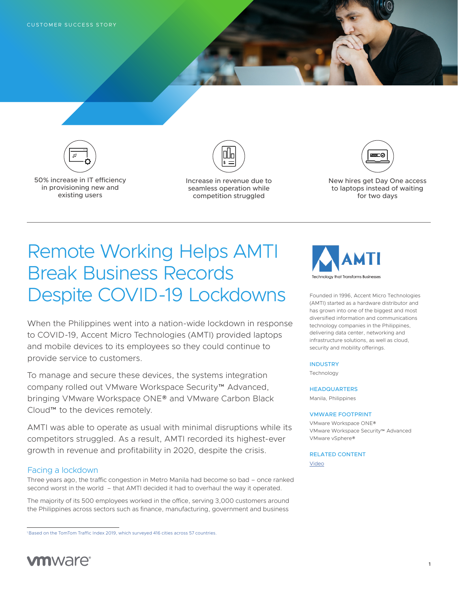

50% increase in IT efficiency in provisioning new and existing users



Increase in revenue due to seamless operation while competition struggled



New hires get Day One access to laptops instead of waiting for two days

# Remote Working Helps AMTI Break Business Records Despite COVID-19 Lockdowns

When the Philippines went into a nation-wide lockdown in response to COVID-19, Accent Micro Technologies (AMTI) provided laptops and mobile devices to its employees so they could continue to provide service to customers.

To manage and secure these devices, the systems integration company rolled out VMware Workspace Security™ Advanced, bringing VMware Workspace ONE® and VMware Carbon Black Cloud™ to the devices remotely.

AMTI was able to operate as usual with minimal disruptions while its competitors struggled. As a result, AMTI recorded its highest-ever growth in revenue and profitability in 2020, despite the crisis.

## Facing a lockdown

Three years ago, the traffic congestion in Metro Manila had become so bad – once ranked second worst in the world – that AMTI decided it had to overhaul the way it operated.

The majority of its 500 employees worked in the office, serving 3,000 customers around the Philippines across sectors such as finance, manufacturing, government and business



Founded in 1996, Accent Micro Technologies (AMTI) started as a hardware distributor and has grown into one of the biggest and most diversified information and communications technology companies in the Philippines, delivering data center, networking and infrastructure solutions, as well as cloud, security and mobility offerings.

## **INDUSTRY**

Technology

### **HEADQUARTERS**

Manila, Philippines

#### VMWARE FOOTPRINT

VMware Workspace ONE® VMware Workspace Security™ Advanced VMware vSphere®

## RELATED CONTENT

[Video](https://youtu.be/8xaxICtAtT8)



<sup>1</sup> Based on the TomTom Traffic Index 2019, which surveyed 416 cities across 57 countries.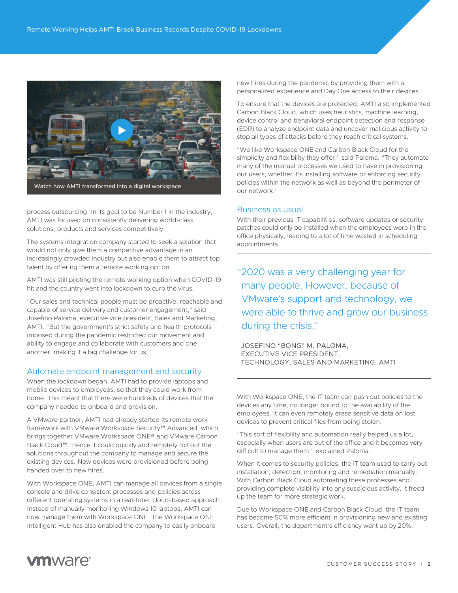

process outsourcing. In its goal to be Number 1 in the industry, AMTI was focused on consistently delivering world-class solutions, products and services competitively

The systems integration company started to seek a solution that would not only give them a competitive advantage in an increasingly crowded industry but also enable them to attract top talent by offering them a remote working option.

AMTI was still piloting the remote working option when COVID-19 hit and the country went into lockdown to curb the virus.

"Our sales and technical people must be proactive, reachable and capable of service delivery and customer engagement," said Josefino Paloma, executive vice president, Sales and Marketing, AMTI. "But the government's strict safety and health protocols imposed during the pandemic restricted our movement and ability to engage and collaborate with customers and one another, making it a big challenge for us."

# Automate endpoint management and security

When the lockdown began, AMTI had to provide laptops and mobile devices to employees, so that they could work from home. This meant that there were hundreds of devices that the company needed to onboard and provision.

A VMware partner, AMTI had already started its remote work framework with VMware Workspace Security™ Advanced, which brings together VMware Workspace ONE® and VMware Carbon Black Cloud™. Hence it could quickly and remotely roll out the solutions throughout the company to manage and secure the existing devices. New devices were provisioned before being handed over to new hires.

With Workspace ONE, AMTI can manage all devices from a single console and drive consistent processes and policies across different operating systems in a real-time, cloud-based approach. Instead of manually monitoring Windows 10 laptops, AMTI can now manage them with Workspace ONE. The Workspace ONE Intelligent Hub has also enabled the company to easily onboard

new hires during the pandemic by providing them with a personalized experience and Day One access to their devices.

To ensure that the devices are protected, AMTI also implemented Carbon Black Cloud, which uses heuristics, machine learning, device control and behavioral endpoint detection and response (EDR) to analyze endpoint data and uncover malicious activity to stop all types of attacks before they reach critical systems.

"We like Workspace ONE and Carbon Black Cloud for the simplicity and flexibility they offer," said Paloma. "They automate many of the manual processes we used to have in provisioning our users, whether it's installing software or enforcing security policies within the network as well as beyond the perimeter of our network."

## Business as usual

With their previous IT capabilities, software updates or security patches could only be installed when the employees were in the office physically, leading to a lot of time wasted in scheduling appointments.

"2020 was a very challenging year for many people. However, because of VMware's support and technology, we were able to thrive and grow our business during the crisis."

JOSEFINO "BONG" M. PALOMA, EXECUTIVE VICE PRESIDENT, TECHNOLOGY, SALES AND MARKETING, AMTI

With Workspace ONE, the IT team can push out policies to the devices any time, no longer bound to the availability of the employees. It can even remotely erase sensitive data on lost devices to prevent critical files from being stolen.

"This sort of flexibility and automation really helped us a lot, especially when users are out of the office and it becomes very difficult to manage them," explained Paloma.

When it comes to security policies, the IT team used to carry out installation, detection, monitoring and remediation manually. With Carbon Black Cloud automating these processes and providing complete visibility into any suspicious activity, it freed up the team for more strategic work.

Due to Workspace ONE and Carbon Black Cloud, the IT team has become 50% more efficient in provisioning new and existing users. Overall, the department's efficiency went up by 20%.